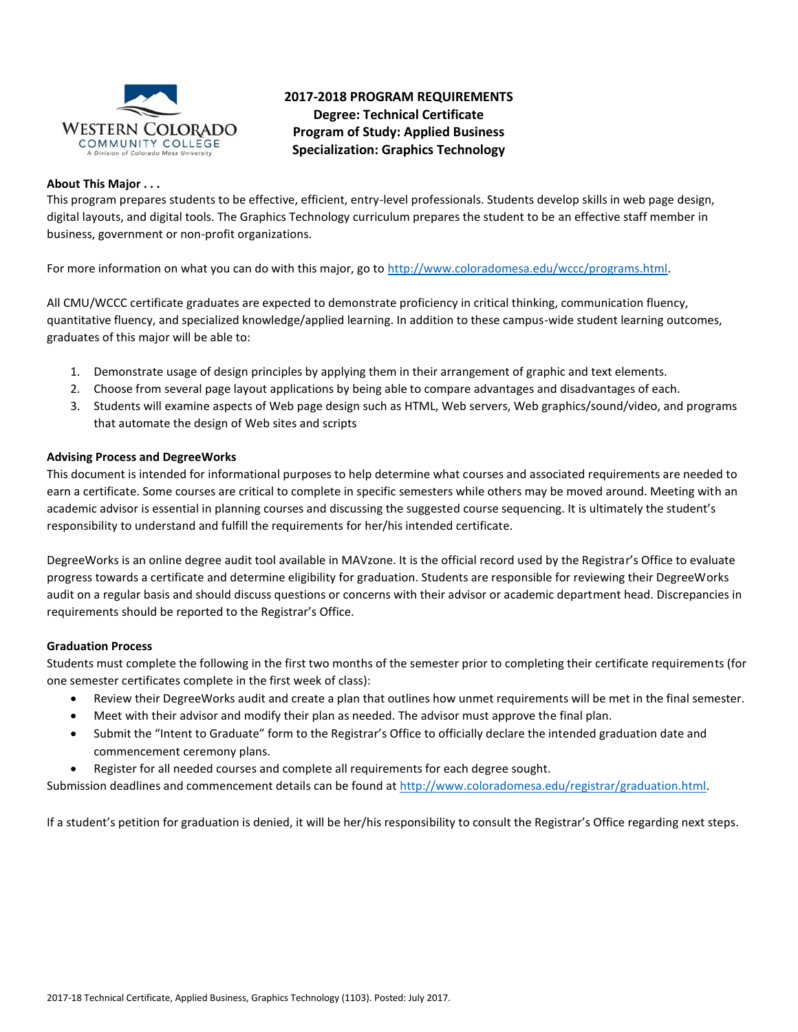

## **2017-2018 PROGRAM REQUIREMENTS Degree: Technical Certificate Program of Study: Applied Business Specialization: Graphics Technology**

#### **About This Major . . .**

This program prepares students to be effective, efficient, entry-level professionals. Students develop skills in web page design, digital layouts, and digital tools. The Graphics Technology curriculum prepares the student to be an effective staff member in business, government or non-profit organizations.

For more information on what you can do with this major, go to [http://www.coloradomesa.edu/wccc/programs.html.](http://www.coloradomesa.edu/wccc/programs.html)

All CMU/WCCC certificate graduates are expected to demonstrate proficiency in critical thinking, communication fluency, quantitative fluency, and specialized knowledge/applied learning. In addition to these campus-wide student learning outcomes, graduates of this major will be able to:

- 1. Demonstrate usage of design principles by applying them in their arrangement of graphic and text elements.
- 2. Choose from several page layout applications by being able to compare advantages and disadvantages of each.
- 3. Students will examine aspects of Web page design such as HTML, Web servers, Web graphics/sound/video, and programs that automate the design of Web sites and scripts

### **Advising Process and DegreeWorks**

This document is intended for informational purposes to help determine what courses and associated requirements are needed to earn a certificate. Some courses are critical to complete in specific semesters while others may be moved around. Meeting with an academic advisor is essential in planning courses and discussing the suggested course sequencing. It is ultimately the student's responsibility to understand and fulfill the requirements for her/his intended certificate.

DegreeWorks is an online degree audit tool available in MAVzone. It is the official record used by the Registrar's Office to evaluate progress towards a certificate and determine eligibility for graduation. Students are responsible for reviewing their DegreeWorks audit on a regular basis and should discuss questions or concerns with their advisor or academic department head. Discrepancies in requirements should be reported to the Registrar's Office.

### **Graduation Process**

Students must complete the following in the first two months of the semester prior to completing their certificate requirements (for one semester certificates complete in the first week of class):

- Review their DegreeWorks audit and create a plan that outlines how unmet requirements will be met in the final semester.
- Meet with their advisor and modify their plan as needed. The advisor must approve the final plan.
- Submit the "Intent to Graduate" form to the Registrar's Office to officially declare the intended graduation date and commencement ceremony plans.
- Register for all needed courses and complete all requirements for each degree sought.

Submission deadlines and commencement details can be found at [http://www.coloradomesa.edu/registrar/graduation.html.](http://www.coloradomesa.edu/registrar/graduation.html)

If a student's petition for graduation is denied, it will be her/his responsibility to consult the Registrar's Office regarding next steps.